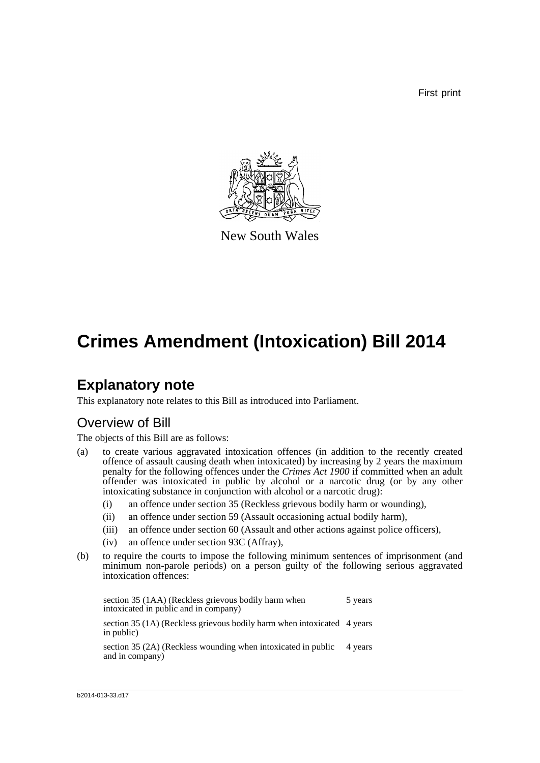First print



New South Wales

# **Crimes Amendment (Intoxication) Bill 2014**

## **Explanatory note**

This explanatory note relates to this Bill as introduced into Parliament.

## Overview of Bill

The objects of this Bill are as follows:

- (a) to create various aggravated intoxication offences (in addition to the recently created offence of assault causing death when intoxicated) by increasing by 2 years the maximum penalty for the following offences under the *Crimes Act 1900* if committed when an adult offender was intoxicated in public by alcohol or a narcotic drug (or by any other intoxicating substance in conjunction with alcohol or a narcotic drug):
	- (i) an offence under section 35 (Reckless grievous bodily harm or wounding),
	- (ii) an offence under section 59 (Assault occasioning actual bodily harm),
	- (iii) an offence under section 60 (Assault and other actions against police officers),
	- (iv) an offence under section 93C (Affray),
- (b) to require the courts to impose the following minimum sentences of imprisonment (and minimum non-parole periods) on a person guilty of the following serious aggravated intoxication offences:

section 35 (1AA) (Reckless grievous bodily harm when intoxicated in public and in company) 5 years section 35 (1A) (Reckless grievous bodily harm when intoxicated 4 years in public) section 35 (2A) (Reckless wounding when intoxicated in public 4 years and in company)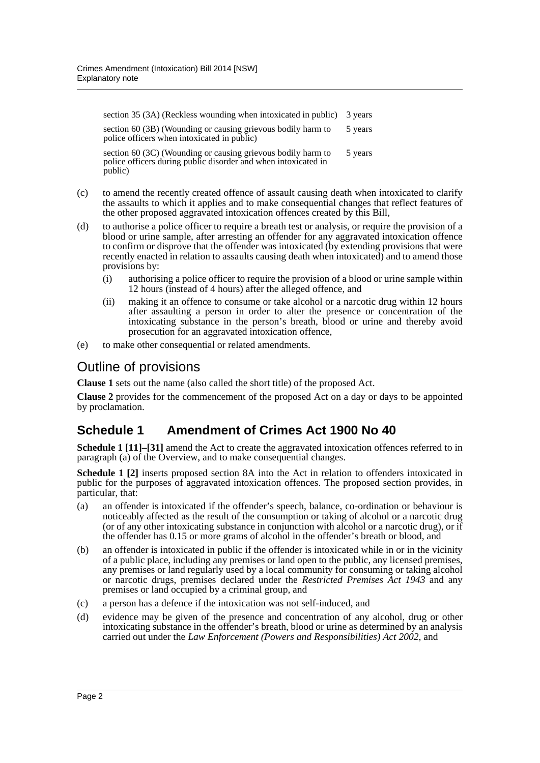section 35 (3A) (Reckless wounding when intoxicated in public) 3 years section 60 (3B) (Wounding or causing grievous bodily harm to police officers when intoxicated in public) 5 years section 60 (3C) (Wounding or causing grievous bodily harm to police officers during public disorder and when intoxicated in 5 years

public)

- (c) to amend the recently created offence of assault causing death when intoxicated to clarify the assaults to which it applies and to make consequential changes that reflect features of the other proposed aggravated intoxication offences created by this Bill,
- (d) to authorise a police officer to require a breath test or analysis, or require the provision of a blood or urine sample, after arresting an offender for any aggravated intoxication offence to confirm or disprove that the offender was intoxicated (by extending provisions that were recently enacted in relation to assaults causing death when intoxicated) and to amend those provisions by:
	- (i) authorising a police officer to require the provision of a blood or urine sample within 12 hours (instead of 4 hours) after the alleged offence, and
	- (ii) making it an offence to consume or take alcohol or a narcotic drug within 12 hours after assaulting a person in order to alter the presence or concentration of the intoxicating substance in the person's breath, blood or urine and thereby avoid prosecution for an aggravated intoxication offence,
- (e) to make other consequential or related amendments.

## Outline of provisions

**Clause 1** sets out the name (also called the short title) of the proposed Act.

**Clause 2** provides for the commencement of the proposed Act on a day or days to be appointed by proclamation.

## **Schedule 1 Amendment of Crimes Act 1900 No 40**

**Schedule 1 [11]–[31]** amend the Act to create the aggravated intoxication offences referred to in paragraph (a) of the Overview, and to make consequential changes.

**Schedule 1 [2]** inserts proposed section 8A into the Act in relation to offenders intoxicated in public for the purposes of aggravated intoxication offences. The proposed section provides, in particular, that:

- (a) an offender is intoxicated if the offender's speech, balance, co-ordination or behaviour is noticeably affected as the result of the consumption or taking of alcohol or a narcotic drug (or of any other intoxicating substance in conjunction with alcohol or a narcotic drug), or if the offender has 0.15 or more grams of alcohol in the offender's breath or blood, and
- (b) an offender is intoxicated in public if the offender is intoxicated while in or in the vicinity of a public place, including any premises or land open to the public, any licensed premises, any premises or land regularly used by a local community for consuming or taking alcohol or narcotic drugs, premises declared under the *Restricted Premises Act 1943* and any premises or land occupied by a criminal group, and
- (c) a person has a defence if the intoxication was not self-induced, and
- (d) evidence may be given of the presence and concentration of any alcohol, drug or other intoxicating substance in the offender's breath, blood or urine as determined by an analysis carried out under the *Law Enforcement (Powers and Responsibilities) Act 2002*, and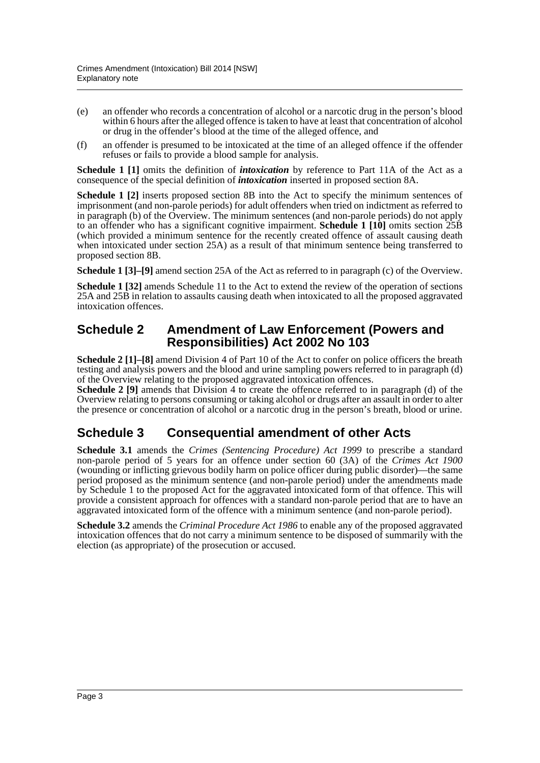- (e) an offender who records a concentration of alcohol or a narcotic drug in the person's blood within 6 hours after the alleged offence is taken to have at least that concentration of alcohol or drug in the offender's blood at the time of the alleged offence, and
- (f) an offender is presumed to be intoxicated at the time of an alleged offence if the offender refuses or fails to provide a blood sample for analysis.

**Schedule 1 [1]** omits the definition of *intoxication* by reference to Part 11A of the Act as a consequence of the special definition of *intoxication* inserted in proposed section 8A.

**Schedule 1 [2]** inserts proposed section 8B into the Act to specify the minimum sentences of imprisonment (and non-parole periods) for adult offenders when tried on indictment as referred to in paragraph (b) of the Overview. The minimum sentences (and non-parole periods) do not apply to an offender who has a significant cognitive impairment. **Schedule 1 [10]** omits section 25B (which provided a minimum sentence for the recently created offence of assault causing death when intoxicated under section 25A) as a result of that minimum sentence being transferred to proposed section 8B.

**Schedule 1 [3]–[9]** amend section 25A of the Act as referred to in paragraph (c) of the Overview.

**Schedule 1 [32]** amends Schedule 11 to the Act to extend the review of the operation of sections 25A and 25B in relation to assaults causing death when intoxicated to all the proposed aggravated intoxication offences.

### **Schedule 2 Amendment of Law Enforcement (Powers and Responsibilities) Act 2002 No 103**

**Schedule 2 [1]–[8]** amend Division 4 of Part 10 of the Act to confer on police officers the breath testing and analysis powers and the blood and urine sampling powers referred to in paragraph (d) of the Overview relating to the proposed aggravated intoxication offences.

**Schedule 2 [9]** amends that Division 4 to create the offence referred to in paragraph (d) of the Overview relating to persons consuming or taking alcohol or drugs after an assault in order to alter the presence or concentration of alcohol or a narcotic drug in the person's breath, blood or urine.

### **Schedule 3 Consequential amendment of other Acts**

**Schedule 3.1** amends the *Crimes (Sentencing Procedure) Act 1999* to prescribe a standard non-parole period of 5 years for an offence under section 60 (3A) of the *Crimes Act 1900* (wounding or inflicting grievous bodily harm on police officer during public disorder)—the same period proposed as the minimum sentence (and non-parole period) under the amendments made by Schedule 1 to the proposed Act for the aggravated intoxicated form of that offence. This will provide a consistent approach for offences with a standard non-parole period that are to have an aggravated intoxicated form of the offence with a minimum sentence (and non-parole period).

**Schedule 3.2** amends the *Criminal Procedure Act 1986* to enable any of the proposed aggravated intoxication offences that do not carry a minimum sentence to be disposed of summarily with the election (as appropriate) of the prosecution or accused.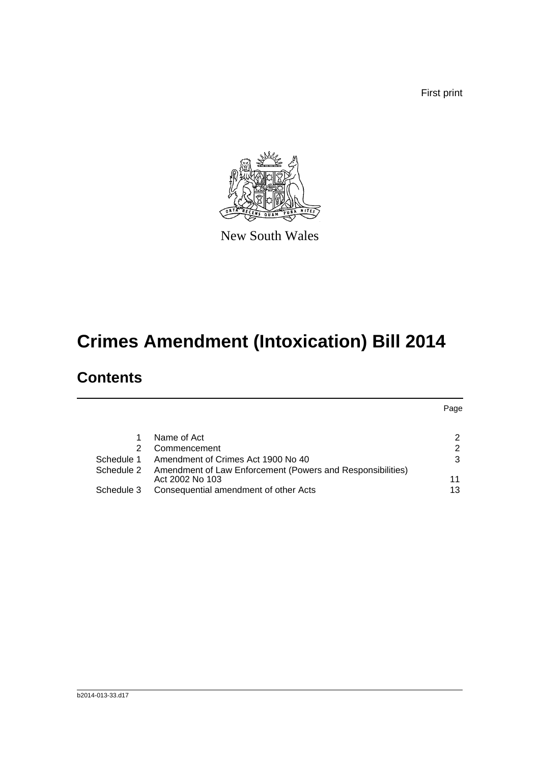First print

Page



New South Wales

# **Crimes Amendment (Intoxication) Bill 2014**

## **Contents**

|            | Name of Act                                                                   | 2             |
|------------|-------------------------------------------------------------------------------|---------------|
| 2          | Commencement                                                                  | $\mathcal{P}$ |
| Schedule 1 | Amendment of Crimes Act 1900 No 40                                            | 3             |
| Schedule 2 | Amendment of Law Enforcement (Powers and Responsibilities)<br>Act 2002 No 103 | 11            |
| Schedule 3 | Consequential amendment of other Acts                                         | 13            |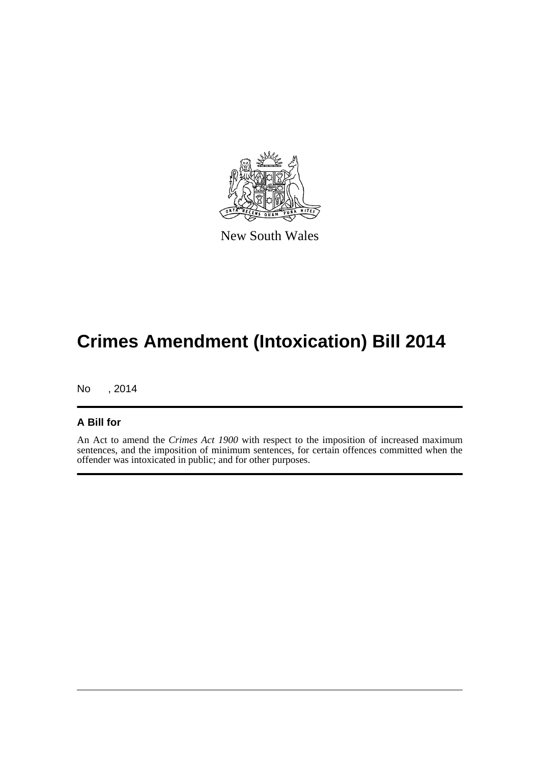

New South Wales

# **Crimes Amendment (Intoxication) Bill 2014**

No , 2014

### **A Bill for**

An Act to amend the *Crimes Act 1900* with respect to the imposition of increased maximum sentences, and the imposition of minimum sentences, for certain offences committed when the offender was intoxicated in public; and for other purposes.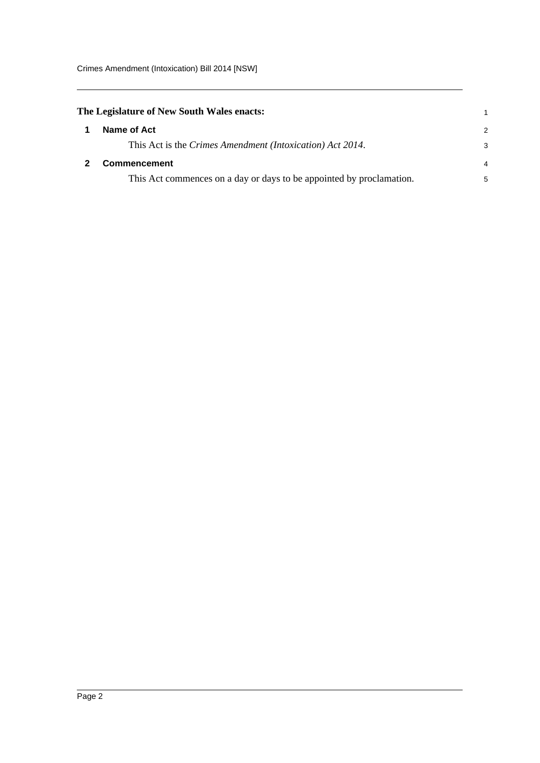<span id="page-5-1"></span><span id="page-5-0"></span>

| The Legislature of New South Wales enacts: |                                                                      |               |
|--------------------------------------------|----------------------------------------------------------------------|---------------|
|                                            | Name of Act                                                          | $\mathcal{P}$ |
|                                            | This Act is the Crimes Amendment (Intoxication) Act 2014.            | 3             |
|                                            | <b>Commencement</b>                                                  | 4             |
|                                            | This Act commences on a day or days to be appointed by proclamation. | 5             |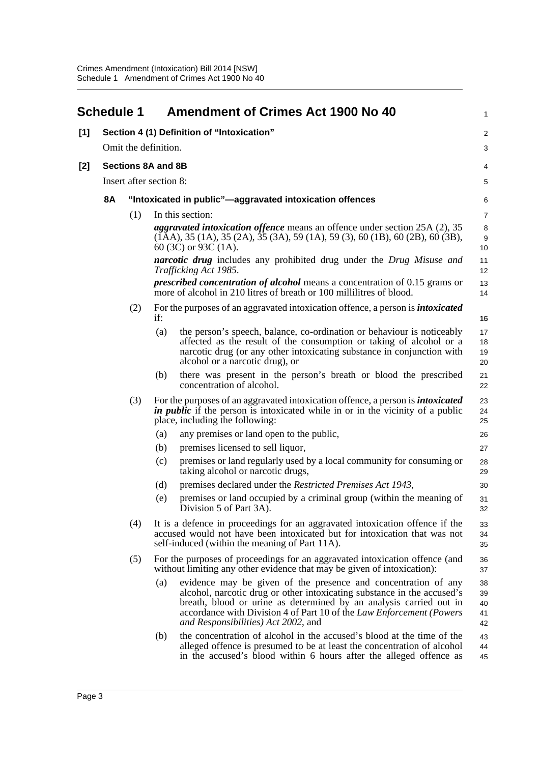<span id="page-6-0"></span>

|     | <b>Schedule 1</b> |                           |     | <b>Amendment of Crimes Act 1900 No 40</b>                                                                                                                                                                                                                                                                                      | 1                          |
|-----|-------------------|---------------------------|-----|--------------------------------------------------------------------------------------------------------------------------------------------------------------------------------------------------------------------------------------------------------------------------------------------------------------------------------|----------------------------|
| [1] |                   |                           |     | Section 4 (1) Definition of "Intoxication"                                                                                                                                                                                                                                                                                     | 2                          |
|     |                   | Omit the definition.      |     |                                                                                                                                                                                                                                                                                                                                | 3                          |
| [2] |                   | <b>Sections 8A and 8B</b> |     |                                                                                                                                                                                                                                                                                                                                | 4                          |
|     |                   | Insert after section 8:   |     |                                                                                                                                                                                                                                                                                                                                | $\mathbf 5$                |
|     | <b>8A</b>         |                           |     | "Intoxicated in public"—aggravated intoxication offences                                                                                                                                                                                                                                                                       | 6                          |
|     |                   | (1)                       |     | In this section:                                                                                                                                                                                                                                                                                                               | $\overline{7}$             |
|     |                   |                           |     | <i>aggravated intoxication offence</i> means an offence under section 25A (2), 35<br>$(1AA)$ , 35 $(1A)$ , 35 $(2A)$ , 35 $(3A)$ , 59 $(1A)$ , 59 $(3)$ , 60 $(1B)$ , 60 $(2B)$ , 60 $(3B)$ ,<br>60 (3C) or 93C (1A).                                                                                                          | 8<br>$9\,$<br>10           |
|     |                   |                           |     | <b>narcotic drug</b> includes any prohibited drug under the Drug Misuse and<br>Trafficking Act 1985.                                                                                                                                                                                                                           | 11<br>12                   |
|     |                   |                           |     | <i>prescribed concentration of alcohol</i> means a concentration of 0.15 grams or<br>more of alcohol in 210 litres of breath or 100 millilitres of blood.                                                                                                                                                                      | 13<br>14                   |
|     |                   | (2)                       | if: | For the purposes of an aggravated intoxication offence, a person is <i>intoxicated</i>                                                                                                                                                                                                                                         | 16                         |
|     |                   |                           | (a) | the person's speech, balance, co-ordination or behaviour is noticeably<br>affected as the result of the consumption or taking of alcohol or a<br>narcotic drug (or any other intoxicating substance in conjunction with<br>alcohol or a narcotic drug), or                                                                     | 17<br>18<br>19<br>20       |
|     |                   |                           | (b) | there was present in the person's breath or blood the prescribed<br>concentration of alcohol.                                                                                                                                                                                                                                  | 21<br>22                   |
|     |                   | (3)                       |     | For the purposes of an aggravated intoxication offence, a person is <i>intoxicated</i><br><i>in public</i> if the person is intoxicated while in or in the vicinity of a public<br>place, including the following:                                                                                                             | 23<br>24<br>25             |
|     |                   |                           | (a) | any premises or land open to the public,                                                                                                                                                                                                                                                                                       | 26                         |
|     |                   |                           | (b) | premises licensed to sell liquor,                                                                                                                                                                                                                                                                                              | 27                         |
|     |                   |                           | (c) | premises or land regularly used by a local community for consuming or<br>taking alcohol or narcotic drugs,                                                                                                                                                                                                                     | 28<br>29                   |
|     |                   |                           | (d) | premises declared under the Restricted Premises Act 1943,                                                                                                                                                                                                                                                                      | 30                         |
|     |                   |                           | (e) | premises or land occupied by a criminal group (within the meaning of<br>Division 5 of Part 3A).                                                                                                                                                                                                                                | 31<br>32                   |
|     |                   | (4)                       |     | It is a defence in proceedings for an aggravated intoxication offence if the<br>accused would not have been intoxicated but for intoxication that was not<br>self-induced (within the meaning of Part 11A).                                                                                                                    | 33<br>34<br>35             |
|     |                   | (5)                       |     | For the purposes of proceedings for an aggravated intoxication offence (and<br>without limiting any other evidence that may be given of intoxication):                                                                                                                                                                         | 36<br>37                   |
|     |                   |                           | (a) | evidence may be given of the presence and concentration of any<br>alcohol, narcotic drug or other intoxicating substance in the accused's<br>breath, blood or urine as determined by an analysis carried out in<br>accordance with Division 4 of Part 10 of the Law Enforcement (Powers<br>and Responsibilities) Act 2002, and | 38<br>39<br>40<br>41<br>42 |
|     |                   |                           | (b) | the concentration of alcohol in the accused's blood at the time of the<br>alleged offence is presumed to be at least the concentration of alcohol<br>in the accused's blood within 6 hours after the alleged offence as                                                                                                        | 43<br>44<br>45             |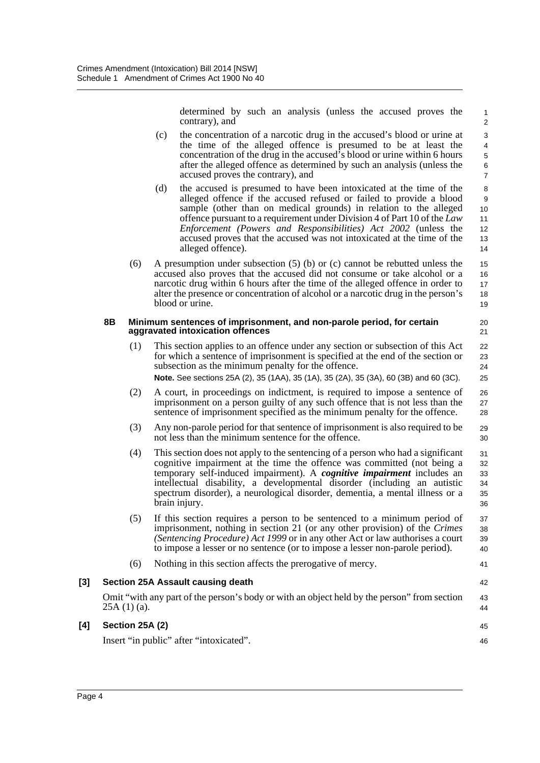determined by such an analysis (unless the accused proves the contrary), and

20 21

41

42

45 46

- (c) the concentration of a narcotic drug in the accused's blood or urine at the time of the alleged offence is presumed to be at least the concentration of the drug in the accused's blood or urine within 6 hours after the alleged offence as determined by such an analysis (unless the accused proves the contrary), and
- (d) the accused is presumed to have been intoxicated at the time of the alleged offence if the accused refused or failed to provide a blood sample (other than on medical grounds) in relation to the alleged offence pursuant to a requirement under Division 4 of Part 10 of the *Law Enforcement (Powers and Responsibilities) Act 2002* (unless the accused proves that the accused was not intoxicated at the time of the alleged offence).
- (6) A presumption under subsection (5) (b) or (c) cannot be rebutted unless the accused also proves that the accused did not consume or take alcohol or a narcotic drug within 6 hours after the time of the alleged offence in order to alter the presence or concentration of alcohol or a narcotic drug in the person's blood or urine. 15 16 17 18 19

#### **8B Minimum sentences of imprisonment, and non-parole period, for certain aggravated intoxication offences**

- (1) This section applies to an offence under any section or subsection of this Act for which a sentence of imprisonment is specified at the end of the section or subsection as the minimum penalty for the offence. **Note.** See sections 25A (2), 35 (1AA), 35 (1A), 35 (2A), 35 (3A), 60 (3B) and 60 (3C). 22 23 24 25
- (2) A court, in proceedings on indictment, is required to impose a sentence of imprisonment on a person guilty of any such offence that is not less than the sentence of imprisonment specified as the minimum penalty for the offence.
- (3) Any non-parole period for that sentence of imprisonment is also required to be not less than the minimum sentence for the offence.
- (4) This section does not apply to the sentencing of a person who had a significant cognitive impairment at the time the offence was committed (not being a temporary self-induced impairment). A *cognitive impairment* includes an intellectual disability, a developmental disorder (including an autistic spectrum disorder), a neurological disorder, dementia, a mental illness or a brain injury. 31 32 33 34 35 36
- (5) If this section requires a person to be sentenced to a minimum period of imprisonment, nothing in section 21 (or any other provision) of the *Crimes (Sentencing Procedure) Act 1999* or in any other Act or law authorises a court to impose a lesser or no sentence (or to impose a lesser non-parole period). 37 38 39 40
- (6) Nothing in this section affects the prerogative of mercy.

# **[3] Section 25A Assault causing death**

Omit "with any part of the person's body or with an object held by the person" from section  $25A(1)(a)$ . 43 44

### **[4] Section 25A (2)**

Insert "in public" after "intoxicated".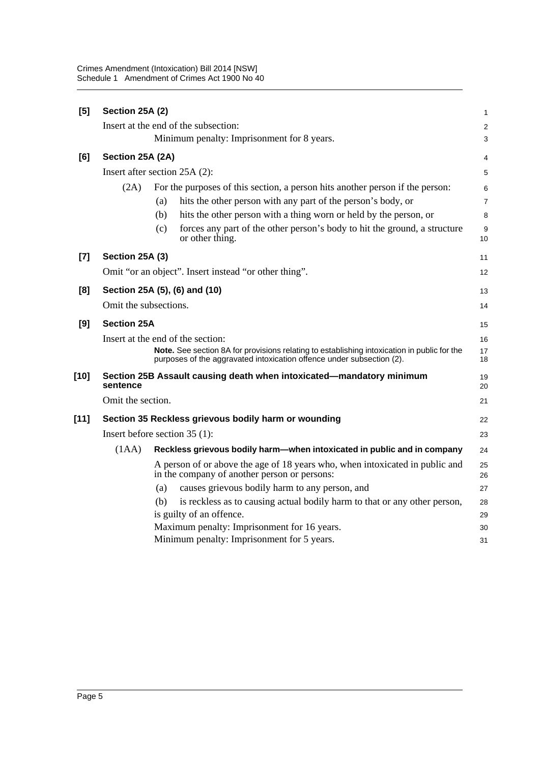| [5]    | Section 25A (2)       |                                                                                                                                                                      | 1                       |
|--------|-----------------------|----------------------------------------------------------------------------------------------------------------------------------------------------------------------|-------------------------|
|        |                       | Insert at the end of the subsection:                                                                                                                                 | $\overline{\mathbf{c}}$ |
|        |                       | Minimum penalty: Imprisonment for 8 years.                                                                                                                           | 3                       |
| [6]    | Section 25A (2A)      |                                                                                                                                                                      | 4                       |
|        |                       | Insert after section 25A (2):                                                                                                                                        | 5                       |
|        | (2A)                  | For the purposes of this section, a person hits another person if the person:                                                                                        | 6                       |
|        |                       | hits the other person with any part of the person's body, or<br>(a)                                                                                                  | $\overline{7}$          |
|        |                       | hits the other person with a thing worn or held by the person, or<br>(b)                                                                                             | 8                       |
|        |                       | forces any part of the other person's body to hit the ground, a structure<br>(c)<br>or other thing.                                                                  | 9<br>10                 |
| $[7]$  | Section 25A (3)       |                                                                                                                                                                      | 11                      |
|        |                       | Omit "or an object". Insert instead "or other thing".                                                                                                                | 12                      |
| [8]    |                       | Section 25A (5), (6) and (10)                                                                                                                                        | 13                      |
|        | Omit the subsections. |                                                                                                                                                                      | 14                      |
| [9]    | <b>Section 25A</b>    |                                                                                                                                                                      | 15                      |
|        |                       | Insert at the end of the section:                                                                                                                                    | 16                      |
|        |                       | Note. See section 8A for provisions relating to establishing intoxication in public for the<br>purposes of the aggravated intoxication offence under subsection (2). | 17<br>18                |
| [10]   | sentence              | Section 25B Assault causing death when intoxicated-mandatory minimum                                                                                                 | 19<br>20                |
|        | Omit the section.     |                                                                                                                                                                      | 21                      |
| $[11]$ |                       | Section 35 Reckless grievous bodily harm or wounding                                                                                                                 | 22                      |
|        |                       | Insert before section $35(1)$ :                                                                                                                                      | 23                      |
|        | (1AA)                 | Reckless grievous bodily harm-when intoxicated in public and in company                                                                                              | 24                      |
|        |                       | A person of or above the age of 18 years who, when intoxicated in public and<br>in the company of another person or persons:                                         | 25<br>26                |
|        |                       | causes grievous bodily harm to any person, and<br>(a)                                                                                                                | 27                      |
|        |                       | is reckless as to causing actual bodily harm to that or any other person,<br>(b)                                                                                     | 28                      |
|        |                       | is guilty of an offence.                                                                                                                                             | 29                      |
|        |                       | Maximum penalty: Imprisonment for 16 years.                                                                                                                          | 30                      |
|        |                       | Minimum penalty: Imprisonment for 5 years.                                                                                                                           | 31                      |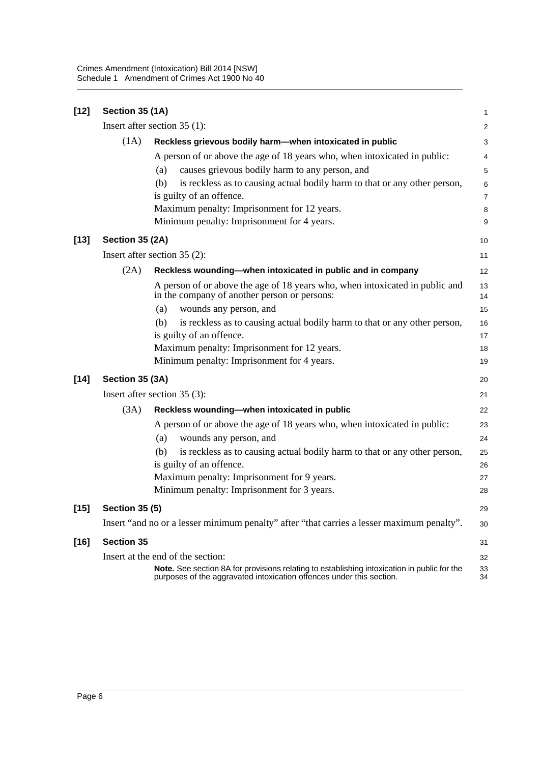| $[12]$ | Section 35 (1A)       |                                                                                                                                                                     | $\mathbf{1}$             |
|--------|-----------------------|---------------------------------------------------------------------------------------------------------------------------------------------------------------------|--------------------------|
|        |                       | Insert after section $35(1)$ :                                                                                                                                      | $\overline{c}$           |
|        | (1A)                  | Reckless grievous bodily harm-when intoxicated in public                                                                                                            | 3                        |
|        |                       | A person of or above the age of 18 years who, when intoxicated in public:                                                                                           | $\overline{\mathcal{L}}$ |
|        |                       | causes grievous bodily harm to any person, and<br>(a)                                                                                                               | 5                        |
|        |                       | is reckless as to causing actual bodily harm to that or any other person,<br>(b)                                                                                    | 6                        |
|        |                       | is guilty of an offence.                                                                                                                                            | $\overline{7}$           |
|        |                       | Maximum penalty: Imprisonment for 12 years.                                                                                                                         | 8                        |
|        |                       | Minimum penalty: Imprisonment for 4 years.                                                                                                                          | 9                        |
| $[13]$ | Section 35 (2A)       |                                                                                                                                                                     | 10                       |
|        |                       | Insert after section $35(2)$ :                                                                                                                                      | 11                       |
|        | (2A)                  | Reckless wounding-when intoxicated in public and in company                                                                                                         | 12                       |
|        |                       | A person of or above the age of 18 years who, when intoxicated in public and<br>in the company of another person or persons:                                        | 13<br>14                 |
|        |                       | wounds any person, and<br>(a)                                                                                                                                       | 15                       |
|        |                       | is reckless as to causing actual bodily harm to that or any other person,<br>(b)                                                                                    | 16                       |
|        |                       | is guilty of an offence.                                                                                                                                            | 17                       |
|        |                       | Maximum penalty: Imprisonment for 12 years.                                                                                                                         | 18                       |
|        |                       | Minimum penalty: Imprisonment for 4 years.                                                                                                                          | 19                       |
| $[14]$ | Section 35 (3A)       |                                                                                                                                                                     | 20                       |
|        |                       | Insert after section $35(3)$ :                                                                                                                                      | 21                       |
|        | (3A)                  | Reckless wounding-when intoxicated in public                                                                                                                        | 22                       |
|        |                       | A person of or above the age of 18 years who, when intoxicated in public:                                                                                           | 23                       |
|        |                       | wounds any person, and<br>(a)                                                                                                                                       | 24                       |
|        |                       | is reckless as to causing actual bodily harm to that or any other person,<br>(b)                                                                                    | 25                       |
|        |                       | is guilty of an offence.                                                                                                                                            | 26                       |
|        |                       | Maximum penalty: Imprisonment for 9 years.                                                                                                                          | 27                       |
|        |                       | Minimum penalty: Imprisonment for 3 years.                                                                                                                          | 28                       |
| $[15]$ | <b>Section 35 (5)</b> |                                                                                                                                                                     | 29                       |
|        |                       | Insert "and no or a lesser minimum penalty" after "that carries a lesser maximum penalty".                                                                          | 30                       |
| $[16]$ | <b>Section 35</b>     |                                                                                                                                                                     | 31                       |
|        |                       | Insert at the end of the section:                                                                                                                                   | 32                       |
|        |                       | Note. See section 8A for provisions relating to establishing intoxication in public for the<br>purposes of the aggravated intoxication offences under this section. | 33<br>34                 |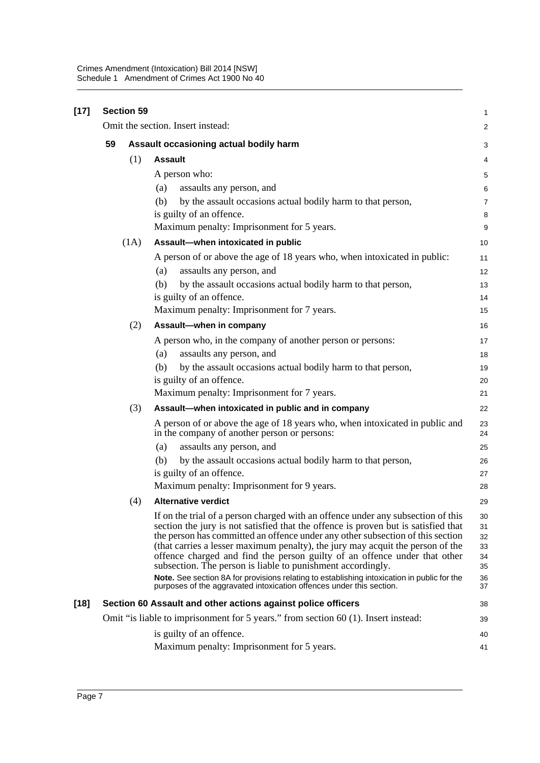| $[17]$ | <b>Section 59</b> |      |                                                                                                                                                                                                                                                                                                                                                                                                                                                                                                                                                                                                                                                               |                                              |  |
|--------|-------------------|------|---------------------------------------------------------------------------------------------------------------------------------------------------------------------------------------------------------------------------------------------------------------------------------------------------------------------------------------------------------------------------------------------------------------------------------------------------------------------------------------------------------------------------------------------------------------------------------------------------------------------------------------------------------------|----------------------------------------------|--|
|        |                   |      | Omit the section. Insert instead:                                                                                                                                                                                                                                                                                                                                                                                                                                                                                                                                                                                                                             | $\overline{\mathbf{c}}$                      |  |
|        | 59                |      | Assault occasioning actual bodily harm                                                                                                                                                                                                                                                                                                                                                                                                                                                                                                                                                                                                                        | 3                                            |  |
|        |                   | (1)  | <b>Assault</b>                                                                                                                                                                                                                                                                                                                                                                                                                                                                                                                                                                                                                                                | 4                                            |  |
|        |                   |      | A person who:                                                                                                                                                                                                                                                                                                                                                                                                                                                                                                                                                                                                                                                 | 5                                            |  |
|        |                   |      | assaults any person, and<br>(a)                                                                                                                                                                                                                                                                                                                                                                                                                                                                                                                                                                                                                               | 6                                            |  |
|        |                   |      | by the assault occasions actual bodily harm to that person,<br>(b)                                                                                                                                                                                                                                                                                                                                                                                                                                                                                                                                                                                            | 7                                            |  |
|        |                   |      | is guilty of an offence.                                                                                                                                                                                                                                                                                                                                                                                                                                                                                                                                                                                                                                      | 8                                            |  |
|        |                   |      | Maximum penalty: Imprisonment for 5 years.                                                                                                                                                                                                                                                                                                                                                                                                                                                                                                                                                                                                                    | 9                                            |  |
|        |                   | (1A) | Assault-when intoxicated in public                                                                                                                                                                                                                                                                                                                                                                                                                                                                                                                                                                                                                            | 10                                           |  |
|        |                   |      | A person of or above the age of 18 years who, when intoxicated in public:                                                                                                                                                                                                                                                                                                                                                                                                                                                                                                                                                                                     | 11                                           |  |
|        |                   |      | assaults any person, and<br>(a)                                                                                                                                                                                                                                                                                                                                                                                                                                                                                                                                                                                                                               | 12                                           |  |
|        |                   |      | by the assault occasions actual bodily harm to that person,<br>(b)                                                                                                                                                                                                                                                                                                                                                                                                                                                                                                                                                                                            | 13                                           |  |
|        |                   |      | is guilty of an offence.                                                                                                                                                                                                                                                                                                                                                                                                                                                                                                                                                                                                                                      | 14                                           |  |
|        |                   |      | Maximum penalty: Imprisonment for 7 years.                                                                                                                                                                                                                                                                                                                                                                                                                                                                                                                                                                                                                    | 15                                           |  |
|        |                   | (2)  | Assault-when in company                                                                                                                                                                                                                                                                                                                                                                                                                                                                                                                                                                                                                                       | 16                                           |  |
|        |                   |      | A person who, in the company of another person or persons:                                                                                                                                                                                                                                                                                                                                                                                                                                                                                                                                                                                                    | 17                                           |  |
|        |                   |      | assaults any person, and<br>(a)                                                                                                                                                                                                                                                                                                                                                                                                                                                                                                                                                                                                                               | 18                                           |  |
|        |                   |      | (b)<br>by the assault occasions actual bodily harm to that person,                                                                                                                                                                                                                                                                                                                                                                                                                                                                                                                                                                                            | 19                                           |  |
|        |                   |      | is guilty of an offence.                                                                                                                                                                                                                                                                                                                                                                                                                                                                                                                                                                                                                                      | 20                                           |  |
|        |                   |      | Maximum penalty: Imprisonment for 7 years.                                                                                                                                                                                                                                                                                                                                                                                                                                                                                                                                                                                                                    | 21                                           |  |
|        |                   | (3)  | Assault-when intoxicated in public and in company                                                                                                                                                                                                                                                                                                                                                                                                                                                                                                                                                                                                             | 22                                           |  |
|        |                   |      | A person of or above the age of 18 years who, when intoxicated in public and<br>in the company of another person or persons:                                                                                                                                                                                                                                                                                                                                                                                                                                                                                                                                  | 23<br>24                                     |  |
|        |                   |      | assaults any person, and<br>(a)                                                                                                                                                                                                                                                                                                                                                                                                                                                                                                                                                                                                                               | 25                                           |  |
|        |                   |      | by the assault occasions actual bodily harm to that person,<br>(b)                                                                                                                                                                                                                                                                                                                                                                                                                                                                                                                                                                                            | 26                                           |  |
|        |                   |      | is guilty of an offence.                                                                                                                                                                                                                                                                                                                                                                                                                                                                                                                                                                                                                                      | 27                                           |  |
|        |                   |      | Maximum penalty: Imprisonment for 9 years.                                                                                                                                                                                                                                                                                                                                                                                                                                                                                                                                                                                                                    | 28                                           |  |
|        |                   | (4)  | <b>Alternative verdict</b>                                                                                                                                                                                                                                                                                                                                                                                                                                                                                                                                                                                                                                    | 29                                           |  |
|        |                   |      | If on the trial of a person charged with an offence under any subsection of this<br>section the jury is not satisfied that the offence is proven but is satisfied that<br>the person has committed an offence under any other subsection of this section<br>(that carries a lesser maximum penalty), the jury may acquit the person of the<br>offence charged and find the person guilty of an offence under that other<br>subsection. The person is liable to punishment accordingly.<br>Note. See section 8A for provisions relating to establishing intoxication in public for the<br>purposes of the aggravated intoxication offences under this section. | 30<br>31<br>32<br>33<br>34<br>35<br>36<br>37 |  |
| $[18]$ |                   |      | Section 60 Assault and other actions against police officers                                                                                                                                                                                                                                                                                                                                                                                                                                                                                                                                                                                                  | 38                                           |  |
|        |                   |      | Omit "is liable to imprisonment for 5 years." from section 60 (1). Insert instead:                                                                                                                                                                                                                                                                                                                                                                                                                                                                                                                                                                            | 39                                           |  |
|        |                   |      | is guilty of an offence.                                                                                                                                                                                                                                                                                                                                                                                                                                                                                                                                                                                                                                      | 40                                           |  |
|        |                   |      | Maximum penalty: Imprisonment for 5 years.                                                                                                                                                                                                                                                                                                                                                                                                                                                                                                                                                                                                                    | 41                                           |  |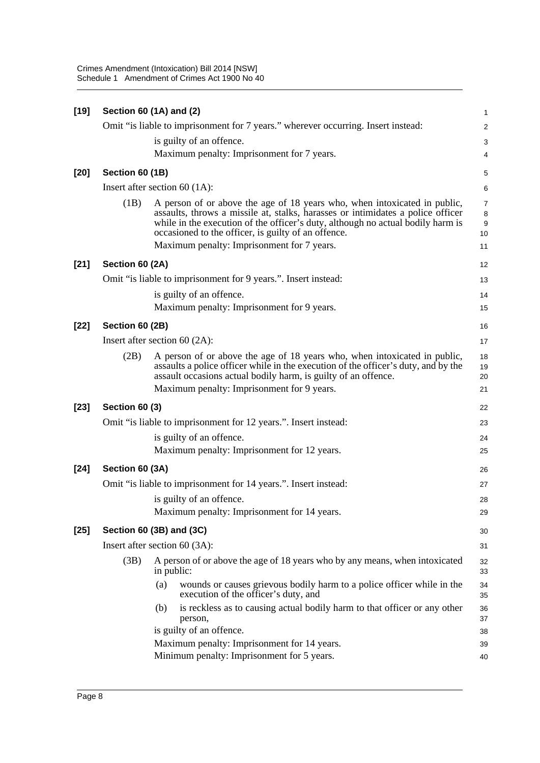Crimes Amendment (Intoxication) Bill 2014 [NSW] Schedule 1 Amendment of Crimes Act 1900 No 40

| $[19]$ |                          | Section 60 (1A) and (2)                                                                                                                                                                                                                                                                                | $\mathbf{1}$                   |  |  |
|--------|--------------------------|--------------------------------------------------------------------------------------------------------------------------------------------------------------------------------------------------------------------------------------------------------------------------------------------------------|--------------------------------|--|--|
|        |                          | Omit "is liable to imprisonment for 7 years." wherever occurring. Insert instead:                                                                                                                                                                                                                      | $\overline{\mathbf{c}}$        |  |  |
|        |                          | is guilty of an offence.                                                                                                                                                                                                                                                                               | 3                              |  |  |
|        |                          | Maximum penalty: Imprisonment for 7 years.                                                                                                                                                                                                                                                             | $\overline{4}$                 |  |  |
| $[20]$ | Section 60 (1B)          |                                                                                                                                                                                                                                                                                                        | 5                              |  |  |
|        |                          | Insert after section 60 $(1A)$ :                                                                                                                                                                                                                                                                       | 6                              |  |  |
|        | (1B)                     | A person of or above the age of 18 years who, when intoxicated in public,<br>assaults, throws a missile at, stalks, harasses or intimidates a police officer<br>while in the execution of the officer's duty, although no actual bodily harm is<br>occasioned to the officer, is guilty of an offence. | $\overline{7}$<br>8<br>9<br>10 |  |  |
|        |                          | Maximum penalty: Imprisonment for 7 years.                                                                                                                                                                                                                                                             | 11                             |  |  |
| $[21]$ | Section 60 (2A)          |                                                                                                                                                                                                                                                                                                        | 12                             |  |  |
|        |                          | Omit "is liable to imprisonment for 9 years.". Insert instead:                                                                                                                                                                                                                                         | 13                             |  |  |
|        |                          | is guilty of an offence.<br>Maximum penalty: Imprisonment for 9 years.                                                                                                                                                                                                                                 | 14<br>15                       |  |  |
| $[22]$ | Section 60 (2B)          |                                                                                                                                                                                                                                                                                                        | 16                             |  |  |
|        |                          | Insert after section 60 $(2A)$ :                                                                                                                                                                                                                                                                       | 17                             |  |  |
|        | (2B)                     | A person of or above the age of 18 years who, when intoxicated in public,<br>assaults a police officer while in the execution of the officer's duty, and by the<br>assault occasions actual bodily harm, is guilty of an offence.                                                                      | 18<br>19<br>20                 |  |  |
|        |                          | Maximum penalty: Imprisonment for 9 years.                                                                                                                                                                                                                                                             | 21                             |  |  |
| $[23]$ | Section 60 (3)           |                                                                                                                                                                                                                                                                                                        | 22                             |  |  |
|        |                          | Omit "is liable to imprisonment for 12 years.". Insert instead:                                                                                                                                                                                                                                        | 23                             |  |  |
|        |                          | is guilty of an offence.<br>Maximum penalty: Imprisonment for 12 years.                                                                                                                                                                                                                                | 24<br>25                       |  |  |
| $[24]$ | Section 60 (3A)          |                                                                                                                                                                                                                                                                                                        | 26                             |  |  |
|        |                          | Omit "is liable to imprisonment for 14 years.". Insert instead:                                                                                                                                                                                                                                        | 27                             |  |  |
|        |                          | is guilty of an offence.                                                                                                                                                                                                                                                                               | 28                             |  |  |
|        |                          | Maximum penalty: Imprisonment for 14 years.                                                                                                                                                                                                                                                            | 29                             |  |  |
| $[25]$ | Section 60 (3B) and (3C) |                                                                                                                                                                                                                                                                                                        |                                |  |  |
|        |                          | Insert after section $60(3A)$ :                                                                                                                                                                                                                                                                        | 31                             |  |  |
|        | (3B)                     | A person of or above the age of 18 years who by any means, when intoxicated<br>in public:                                                                                                                                                                                                              | 32<br>33                       |  |  |
|        |                          | (a)<br>wounds or causes grievous bodily harm to a police officer while in the<br>execution of the officer's duty, and                                                                                                                                                                                  | 34<br>35                       |  |  |
|        |                          | is reckless as to causing actual bodily harm to that officer or any other<br>(b)<br>person,                                                                                                                                                                                                            | 36<br>37                       |  |  |
|        |                          | is guilty of an offence.                                                                                                                                                                                                                                                                               | 38                             |  |  |
|        |                          | Maximum penalty: Imprisonment for 14 years.                                                                                                                                                                                                                                                            | 39                             |  |  |
|        |                          | Minimum penalty: Imprisonment for 5 years.                                                                                                                                                                                                                                                             | 40                             |  |  |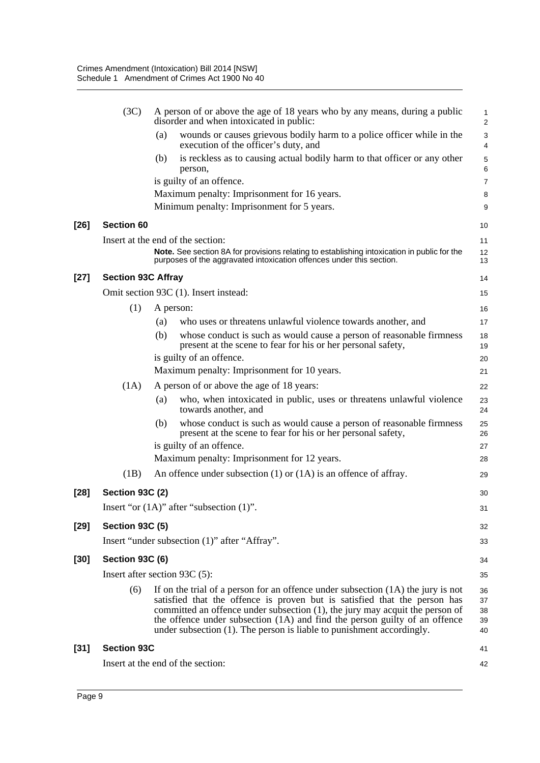|        | (3C)                      | A person of or above the age of 18 years who by any means, during a public<br>disorder and when intoxicated in public:                                                                                                                                                                                                                                                                                 | 1<br>$\overline{\mathbf{c}}$ |
|--------|---------------------------|--------------------------------------------------------------------------------------------------------------------------------------------------------------------------------------------------------------------------------------------------------------------------------------------------------------------------------------------------------------------------------------------------------|------------------------------|
|        |                           | wounds or causes grievous bodily harm to a police officer while in the<br>(a)<br>execution of the officer's duty, and                                                                                                                                                                                                                                                                                  | 3<br>4                       |
|        |                           | (b)<br>is reckless as to causing actual bodily harm to that officer or any other<br>person,                                                                                                                                                                                                                                                                                                            | 5<br>6                       |
|        |                           | is guilty of an offence.                                                                                                                                                                                                                                                                                                                                                                               | 7                            |
|        |                           | Maximum penalty: Imprisonment for 16 years.                                                                                                                                                                                                                                                                                                                                                            | 8                            |
|        |                           | Minimum penalty: Imprisonment for 5 years.                                                                                                                                                                                                                                                                                                                                                             | 9                            |
| [26]   | <b>Section 60</b>         |                                                                                                                                                                                                                                                                                                                                                                                                        | 10                           |
|        |                           | Insert at the end of the section:                                                                                                                                                                                                                                                                                                                                                                      | 11                           |
|        |                           | Note. See section 8A for provisions relating to establishing intoxication in public for the<br>purposes of the aggravated intoxication offences under this section.                                                                                                                                                                                                                                    | 12<br>13                     |
| [27]   | <b>Section 93C Affray</b> |                                                                                                                                                                                                                                                                                                                                                                                                        | 14                           |
|        |                           | Omit section 93C (1). Insert instead:                                                                                                                                                                                                                                                                                                                                                                  | 15                           |
|        | (1)                       | A person:                                                                                                                                                                                                                                                                                                                                                                                              | 16                           |
|        |                           | who uses or threatens unlawful violence towards another, and<br>(a)                                                                                                                                                                                                                                                                                                                                    | 17                           |
|        |                           | whose conduct is such as would cause a person of reasonable firmness<br>(b)<br>present at the scene to fear for his or her personal safety,                                                                                                                                                                                                                                                            | 18<br>19                     |
|        |                           | is guilty of an offence.                                                                                                                                                                                                                                                                                                                                                                               | 20                           |
|        |                           | Maximum penalty: Imprisonment for 10 years.                                                                                                                                                                                                                                                                                                                                                            | 21                           |
|        | (1A)                      | A person of or above the age of 18 years:                                                                                                                                                                                                                                                                                                                                                              | 22                           |
|        |                           | who, when intoxicated in public, uses or threatens unlawful violence<br>(a)<br>towards another, and                                                                                                                                                                                                                                                                                                    | 23<br>24                     |
|        |                           | whose conduct is such as would cause a person of reasonable firmness<br>(b)<br>present at the scene to fear for his or her personal safety,                                                                                                                                                                                                                                                            | 25<br>26                     |
|        |                           | is guilty of an offence.                                                                                                                                                                                                                                                                                                                                                                               | 27                           |
|        |                           | Maximum penalty: Imprisonment for 12 years.                                                                                                                                                                                                                                                                                                                                                            | 28                           |
|        | (1B)                      | An offence under subsection $(1)$ or $(1A)$ is an offence of affray.                                                                                                                                                                                                                                                                                                                                   | 29                           |
| $[28]$ | Section 93C (2)           |                                                                                                                                                                                                                                                                                                                                                                                                        | 30                           |
|        |                           | Insert "or $(1A)$ " after "subsection $(1)$ ".                                                                                                                                                                                                                                                                                                                                                         | 31                           |
| $[29]$ | <b>Section 93C (5)</b>    |                                                                                                                                                                                                                                                                                                                                                                                                        | 32                           |
|        |                           | Insert "under subsection (1)" after "Affray".                                                                                                                                                                                                                                                                                                                                                          | 33                           |
| [30]   | <b>Section 93C (6)</b>    |                                                                                                                                                                                                                                                                                                                                                                                                        | 34                           |
|        |                           | Insert after section 93C $(5)$ :                                                                                                                                                                                                                                                                                                                                                                       | 35                           |
|        | (6)                       | If on the trial of a person for an offence under subsection $(1A)$ the jury is not<br>satisfied that the offence is proven but is satisfied that the person has<br>committed an offence under subsection (1), the jury may acquit the person of<br>the offence under subsection (1A) and find the person guilty of an offence<br>under subsection (1). The person is liable to punishment accordingly. | 36<br>37<br>38<br>39<br>40   |
| [31]   | <b>Section 93C</b>        |                                                                                                                                                                                                                                                                                                                                                                                                        | 41                           |
|        |                           | Insert at the end of the section:                                                                                                                                                                                                                                                                                                                                                                      | 42                           |
|        |                           |                                                                                                                                                                                                                                                                                                                                                                                                        |                              |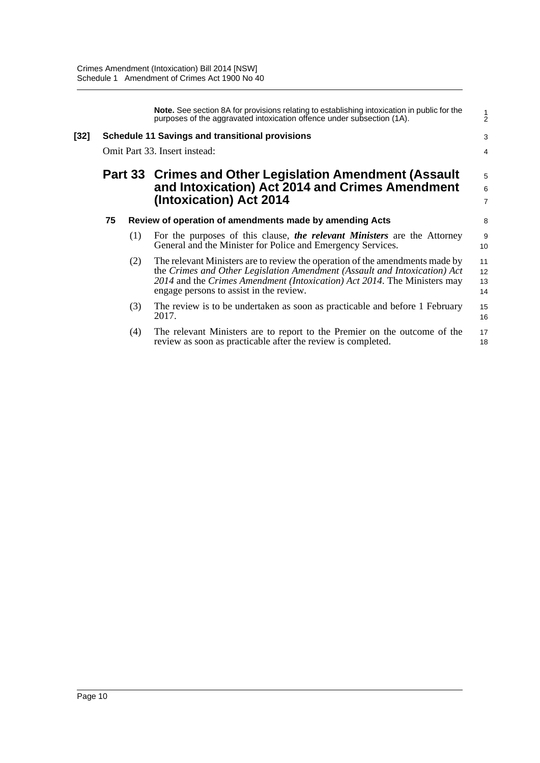|      |    |     | <b>Note.</b> See section 8A for provisions relating to establishing intoxication in public for the<br>purposes of the aggravated intoxication offence under subsection (1A).                                                                                                     | $\frac{1}{2}$                         |
|------|----|-----|----------------------------------------------------------------------------------------------------------------------------------------------------------------------------------------------------------------------------------------------------------------------------------|---------------------------------------|
| [32] |    |     | <b>Schedule 11 Savings and transitional provisions</b>                                                                                                                                                                                                                           | 3                                     |
|      |    |     | Omit Part 33. Insert instead:                                                                                                                                                                                                                                                    | 4                                     |
|      |    |     | Part 33 Crimes and Other Legislation Amendment (Assault<br>and Intoxication) Act 2014 and Crimes Amendment<br>(Intoxication) Act 2014                                                                                                                                            | 5<br>$\overline{6}$<br>$\overline{7}$ |
|      | 75 |     | Review of operation of amendments made by amending Acts                                                                                                                                                                                                                          | 8                                     |
|      |    | (1) | For the purposes of this clause, the relevant Ministers are the Attorney<br>General and the Minister for Police and Emergency Services.                                                                                                                                          | 9<br>10                               |
|      |    | (2) | The relevant Ministers are to review the operation of the amendments made by<br>the Crimes and Other Legislation Amendment (Assault and Intoxication) Act<br>2014 and the Crimes Amendment (Intoxication) Act 2014. The Ministers may<br>engage persons to assist in the review. | 11<br>12<br>13<br>14                  |
|      |    | (3) | The review is to be undertaken as soon as practicable and before 1 February<br>2017.                                                                                                                                                                                             | 15<br>16                              |
|      |    | (4) | The relevant Ministers are to report to the Premier on the outcome of the<br>review as soon as practicable after the review is completed.                                                                                                                                        | 17<br>18                              |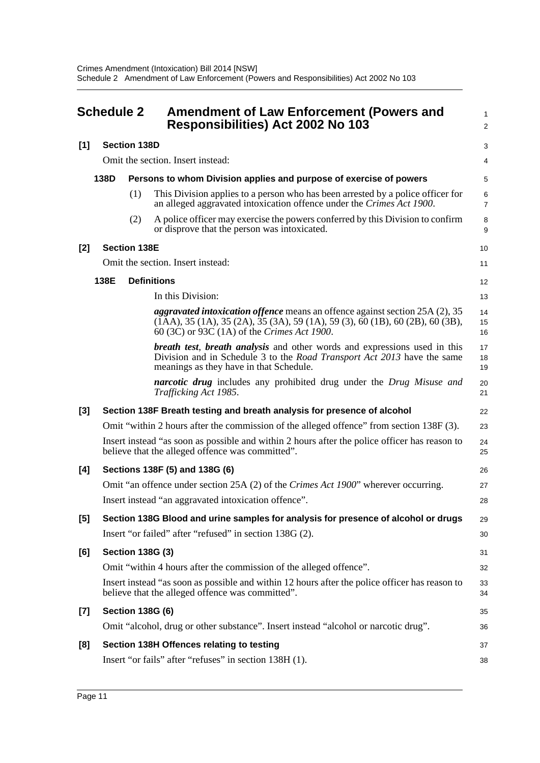<span id="page-14-0"></span>

|       | <b>Schedule 2</b> |                         | <b>Amendment of Law Enforcement (Powers and</b><br><b>Responsibilities) Act 2002 No 103</b>                                                                                                                                                    | 1<br>$\overline{a}$ |
|-------|-------------------|-------------------------|------------------------------------------------------------------------------------------------------------------------------------------------------------------------------------------------------------------------------------------------|---------------------|
| $[1]$ |                   | <b>Section 138D</b>     |                                                                                                                                                                                                                                                | 3                   |
|       |                   |                         | Omit the section. Insert instead:                                                                                                                                                                                                              | 4                   |
|       | 138D              |                         | Persons to whom Division applies and purpose of exercise of powers                                                                                                                                                                             | 5                   |
|       |                   | (1)                     | This Division applies to a person who has been arrested by a police officer for<br>an alleged aggravated intoxication offence under the Crimes Act 1900.                                                                                       | 6<br>$\overline{7}$ |
|       |                   | (2)                     | A police officer may exercise the powers conferred by this Division to confirm<br>or disprove that the person was intoxicated.                                                                                                                 | 8<br>9              |
| [2]   |                   | <b>Section 138E</b>     |                                                                                                                                                                                                                                                | 10                  |
|       |                   |                         | Omit the section. Insert instead:                                                                                                                                                                                                              | 11                  |
|       | 138E              |                         | <b>Definitions</b>                                                                                                                                                                                                                             | 12                  |
|       |                   |                         | In this Division:                                                                                                                                                                                                                              | 13                  |
|       |                   |                         | <i>aggravated intoxication offence</i> means an offence against section 25A (2), 35<br>$(1AA)$ , 35 $(1A)$ , 35 $(2A)$ , 35 $(3A)$ , 59 $(1A)$ , 59 $(3)$ , 60 $(1B)$ , 60 $(2B)$ , 60 $(3B)$ ,<br>60 (3C) or 93C (1A) of the Crimes Act 1900. | 14<br>15<br>16      |
|       |                   |                         | <b>breath test, breath analysis</b> and other words and expressions used in this<br>Division and in Schedule 3 to the Road Transport Act 2013 have the same<br>meanings as they have in that Schedule.                                         | 17<br>18<br>19      |
|       |                   |                         | <i>narcotic drug</i> includes any prohibited drug under the Drug Misuse and<br>Trafficking Act 1985.                                                                                                                                           | 20<br>21            |
| $[3]$ |                   |                         | Section 138F Breath testing and breath analysis for presence of alcohol                                                                                                                                                                        | 22                  |
|       |                   |                         | Omit "within 2 hours after the commission of the alleged offence" from section 138F (3).                                                                                                                                                       | 23                  |
|       |                   |                         | Insert instead "as soon as possible and within 2 hours after the police officer has reason to<br>believe that the alleged offence was committed".                                                                                              | 24<br>25            |
| [4]   |                   |                         | Sections 138F (5) and 138G (6)                                                                                                                                                                                                                 | 26                  |
|       |                   |                         | Omit "an offence under section 25A (2) of the Crimes Act 1900" wherever occurring.                                                                                                                                                             | 27                  |
|       |                   |                         | Insert instead "an aggravated intoxication offence".                                                                                                                                                                                           | 28                  |
| $[5]$ |                   |                         | Section 138G Blood and urine samples for analysis for presence of alcohol or drugs                                                                                                                                                             | 29                  |
|       |                   |                         | Insert "or failed" after "refused" in section 138G (2).                                                                                                                                                                                        | 30                  |
| [6]   |                   | <b>Section 138G (3)</b> |                                                                                                                                                                                                                                                | 31                  |
|       |                   |                         | Omit "within 4 hours after the commission of the alleged offence".                                                                                                                                                                             | 32                  |
|       |                   |                         | Insert instead "as soon as possible and within 12 hours after the police officer has reason to<br>believe that the alleged offence was committed".                                                                                             | 33<br>34            |
| $[7]$ |                   | <b>Section 138G (6)</b> |                                                                                                                                                                                                                                                | 35                  |
|       |                   |                         | Omit "alcohol, drug or other substance". Insert instead "alcohol or narcotic drug".                                                                                                                                                            | 36                  |
| [8]   |                   |                         | Section 138H Offences relating to testing                                                                                                                                                                                                      | 37                  |
|       |                   |                         | Insert "or fails" after "refuses" in section 138H (1).                                                                                                                                                                                         | 38                  |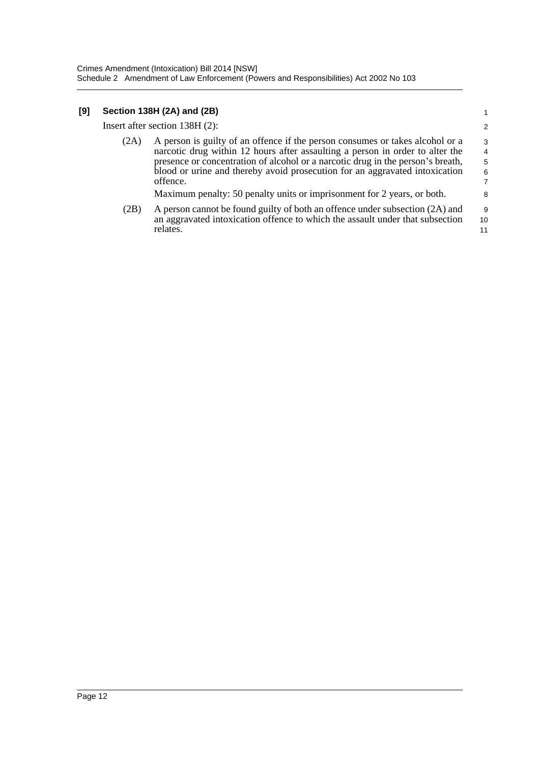### **[9] Section 138H (2A) and (2B)**

Insert after section 138H (2):

1

| (2A) | A person is guilty of an offence if the person consumes or takes alcohol or a   | 3              |
|------|---------------------------------------------------------------------------------|----------------|
|      | narcotic drug within 12 hours after assaulting a person in order to alter the   | $\overline{4}$ |
|      | presence or concentration of alcohol or a narcotic drug in the person's breath, | -5             |
|      | blood or urine and thereby avoid prosecution for an aggravated intoxication     | -6             |
|      | offence.                                                                        | $\overline{7}$ |
|      | Maximum penalty: 50 penalty units or imprisonment for 2 years, or both.         | 8              |

(2B) A person cannot be found guilty of both an offence under subsection (2A) and an aggravated intoxication offence to which the assault under that subsection relates. 9 10 11